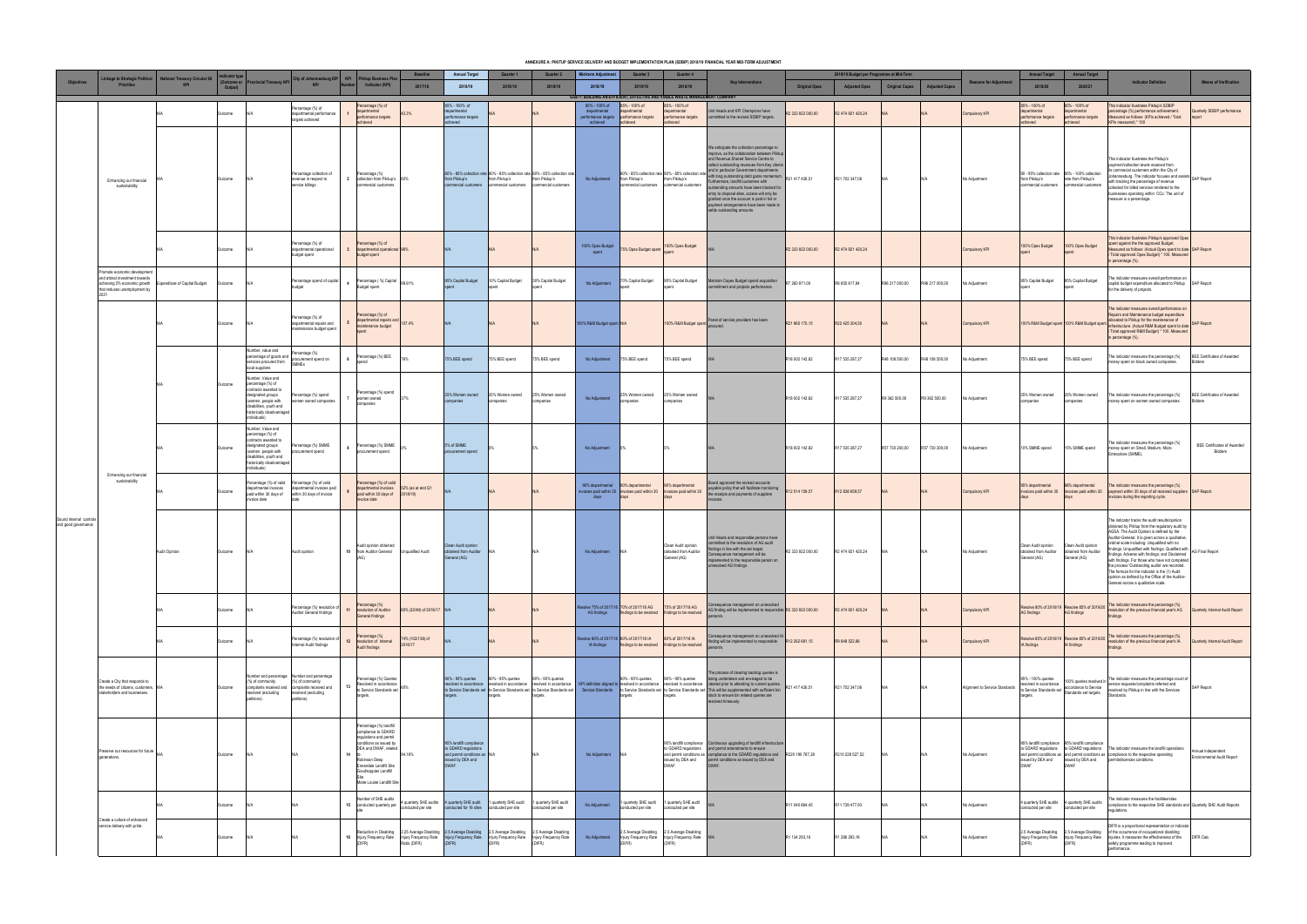|                                                |                                                                                                                                                                                                           |                                             |             |                                                                                                                                                                                    |                                                                                                                                                          |    |                                                                                                                                                                                                                                |                               |                                                                                                                     |                                        |                                                                                                                            |                                           |                                                                                                                                                                      |                                                                  | ANNEXURE A: PIKITUP SERVICE DELIVERY AND BUDGET IMPLEMENTATION PLAN (SDBIP) 2018/19 FINANCIAL YEAR MID-TERM ADJUSTMENT                                                                                                                                                                                                                                                                                                                                                                                                                                                                                   |                                     |                                                                  |                       |                       |                                |                                                                                    |                                                                                                                    |                                                                                                                                                                                                                                                                                                                                                                                                                                                                                                                                                                                                                               |                                                      |
|------------------------------------------------|-----------------------------------------------------------------------------------------------------------------------------------------------------------------------------------------------------------|---------------------------------------------|-------------|------------------------------------------------------------------------------------------------------------------------------------------------------------------------------------|----------------------------------------------------------------------------------------------------------------------------------------------------------|----|--------------------------------------------------------------------------------------------------------------------------------------------------------------------------------------------------------------------------------|-------------------------------|---------------------------------------------------------------------------------------------------------------------|----------------------------------------|----------------------------------------------------------------------------------------------------------------------------|-------------------------------------------|----------------------------------------------------------------------------------------------------------------------------------------------------------------------|------------------------------------------------------------------|----------------------------------------------------------------------------------------------------------------------------------------------------------------------------------------------------------------------------------------------------------------------------------------------------------------------------------------------------------------------------------------------------------------------------------------------------------------------------------------------------------------------------------------------------------------------------------------------------------|-------------------------------------|------------------------------------------------------------------|-----------------------|-----------------------|--------------------------------|------------------------------------------------------------------------------------|--------------------------------------------------------------------------------------------------------------------|-------------------------------------------------------------------------------------------------------------------------------------------------------------------------------------------------------------------------------------------------------------------------------------------------------------------------------------------------------------------------------------------------------------------------------------------------------------------------------------------------------------------------------------------------------------------------------------------------------------------------------|------------------------------------------------------|
| <b>Objectives</b>                              | inkage to Strategic Political<br><b>Priorities</b>                                                                                                                                                        | <b>National Treasury Circular 88</b><br>KPI | Output)     |                                                                                                                                                                                    | (Outcome or Provincial Treasury KPI City of Johannesburg IDP KPI Pikitup Business Pla                                                                    |    | Indicator (KPI)                                                                                                                                                                                                                | <b>Baseline</b><br>2017/18    | <b>Annual Target</b><br>2018/19                                                                                     | Quarter 1<br>2018/19                   | Quarter 2<br>2018/19                                                                                                       | Mid-term Adjustment<br>2018/19            | Quarter 3<br>2018/19                                                                                                                                                 | Quarter 4<br>2018/19                                             | <b>Key Interventions</b>                                                                                                                                                                                                                                                                                                                                                                                                                                                                                                                                                                                 | <b>Original Opex</b>                | 2018/19 Budget per Programme at Mid-Term<br><b>Adjusted Opex</b> | <b>Original Capex</b> | <b>Adjusted Capex</b> | <b>Reasons for Adjustment</b>  | <b>Annual Target</b><br>2019/20                                                    | <b>Annual Target</b><br>2020/21                                                                                    | <b>Indicator Definition</b>                                                                                                                                                                                                                                                                                                                                                                                                                                                                                                                                                                                                   | <b>Means of Verification</b>                         |
|                                                | Enhancing our financial<br>sustainability                                                                                                                                                                 |                                             | Outcome     |                                                                                                                                                                                    | Percentage (%) of<br>departmental performance<br>targets achieved                                                                                        |    | Percentage (%) of<br>departmental<br>performance targets<br>achieved                                                                                                                                                           | 42.3%                         | 85% - 100% of<br>departmental<br>performance targets<br>achieved                                                    |                                        |                                                                                                                            | 85% - 100% of<br>departmental<br>achieved | Goal 1: BUILDING AN EFFICIENT, EFFECTIVE AND VIABLE WASTE MANAGEMENT COMPANY<br>85% - 100% of<br>departmental<br>performance targets performance targets<br>achieved | 85% - 100% of<br>departmental<br>performance targets<br>achieved | it Heads and KPI Champions have<br>committed to the revised SDBIP targets.                                                                                                                                                                                                                                                                                                                                                                                                                                                                                                                               | R2 333 922 000,00                   | R2 474 921 420,24                                                |                       |                       | Compulsory KPI                 | 85% - 100% of<br>departmental<br>performance targets<br>achieved                   | 85% - 100% of<br>departmental<br>performance targets<br>achieved                                                   | This indicator illustrates Pikitup's SDBIP<br>percentage (%) performance achievement.<br>Measured as follows: (KPIs achieved / Total<br>KPIs measured) * 100                                                                                                                                                                                                                                                                                                                                                                                                                                                                  | Quarterly SDBIP performance                          |
|                                                |                                                                                                                                                                                                           |                                             | Outcome     |                                                                                                                                                                                    | Percentage collection of<br>revenue in respect to<br>service billings                                                                                    |    | Percentage (%)<br>collection from Pikitup's 60%<br>commercial customers                                                                                                                                                        |                               | from Pikitup's<br>commercial customers                                                                              | from Pikitup's<br>commercial customers | 80% - 85% collection rate 80% - 85% collection rate 80% - 85% collection rate<br>from Pikitup's<br>commercial customers    | No Adjustment                             | from Pikitup's<br>commercial customers                                                                                                                               | from Pikitup's<br>commercial customers                           | We anticipate the collection percentage to<br>morove, as the collaboration between Pikitup<br>nd Revenue Shared Service Centre to<br>ollect outstanding revenues from Key clients<br>80% - 85% collection rate 80% - 85% collection rate and in particular Government departments<br>with long outstanding debt gains momentum. R21 417 426,51<br>urthermore, landfill customers with<br>tstanding amounts have been blocked for<br>entry to disposal sites, access will only be<br>granted once the account is paid in full or<br>payment arrangements have been made to<br>settle outstanding amounts. |                                     | R21 702 347,06                                                   |                       |                       | No Adjustment                  | from Pikitup's                                                                     | 90 - 95% collection rate 95% - 100% collection<br>rate from Pikitup's<br>commercial customers commercial customers | This indicator illustrates the Pikitup's<br>avment/collection levels received from<br>s commecial customers within the City of<br>Johannesburg. The indicator focuses and assists SAP Report<br>with tracking the percentage of revenue<br>collected for billed services rendered to the<br>businesses operating within COJ. The unit of<br>measure is a percentage.                                                                                                                                                                                                                                                          |                                                      |
|                                                |                                                                                                                                                                                                           |                                             | Outcome     |                                                                                                                                                                                    | Percentage (%) of<br>departmental operational<br>budget spent                                                                                            |    | Percentage (%) of<br>departmental operational 96%<br>budget spent                                                                                                                                                              |                               |                                                                                                                     |                                        |                                                                                                                            | 100% Opex Budget<br>spent                 | 75% Opex Budget spent                                                                                                                                                | 100% Opex Budget                                                 |                                                                                                                                                                                                                                                                                                                                                                                                                                                                                                                                                                                                          | R2 333 922 000,00                   | R2 474 921 420,24                                                |                       |                       | Compulsory KPI                 | 100% Opex Budget                                                                   | 100% Opex Budget                                                                                                   | This indicator illustrates Pikitup's approved Opex<br>spent against the the approved Budget.<br>leasured as follows: (Actual Opex spent to date SAP Report<br>/ Total approved Opex Budget) * 100. Measured<br>in percentage (%).                                                                                                                                                                                                                                                                                                                                                                                             |                                                      |
|                                                | Promote economic development<br>and attract investment towards<br>achieving 5% economic growth<br>that reduces unemployment by                                                                            | <b>Expenditure of Capital Budget</b>        | Outcome     | N/A                                                                                                                                                                                | Percentage spend of capital                                                                                                                              |    | Percentage (%) Capital 99.91%<br>Budget spent                                                                                                                                                                                  |                               | 95% Capital Budget                                                                                                  | 10% Capital Budget                     | 30% Capital Budget                                                                                                         | No Adjustment                             | 70% Capital Budget                                                                                                                                                   | 95% Capital Budget                                               | Maintain Capex Budget spend acquisition<br>nmitment and projects performance.                                                                                                                                                                                                                                                                                                                                                                                                                                                                                                                            | R7 260 971,00                       | R8 655 617,84                                                    | R96 217 000,00        | R96 217 000,00        | No Adjustment                  | 95% Capital Budget                                                                 | 95% Capital Budget                                                                                                 | The indicator measures overall performance on<br>capital budget expenditure allocated to Pikitup SAP Report<br>for the delivery of projects.                                                                                                                                                                                                                                                                                                                                                                                                                                                                                  |                                                      |
|                                                | Enhancing our financial<br>sustainability<br>Create a City that responds to<br>the needs of citizens, customers, N/A<br>stakeholders and businesses.<br>Preserve our resources for future<br>generations. |                                             | Outcome     |                                                                                                                                                                                    | Percentage (%) of<br>departmental repairs and<br>maintenance budget spent                                                                                |    | Percentage (%) of<br>departmental repairs and<br>maintenance budget                                                                                                                                                            | 107.4%                        |                                                                                                                     |                                        |                                                                                                                            | 100% R&M Budget spent N/A                 |                                                                                                                                                                      |                                                                  | 100% R&M Budget spent Panel of service providers has been                                                                                                                                                                                                                                                                                                                                                                                                                                                                                                                                                | R21 965 170,15                      | R22 425 304,50                                                   |                       |                       | <b>Compulsory KPI</b>          |                                                                                    |                                                                                                                    | The indicator measures overall performance on<br>Repairs and Maintenance budget expenditure<br>100% R&M Budget spent 100% R&M Budget spent allocated to Pikitup for the maintenance of SAP Report<br>/ Total approved R&M Budget) * 100. Measured<br>in percentage (%).                                                                                                                                                                                                                                                                                                                                                       |                                                      |
|                                                |                                                                                                                                                                                                           |                                             |             | Number, value and<br>percentage of goods and Percentage (%)<br>services procured from<br>local suppliers                                                                           | procurement spend on<br>SMMEs                                                                                                                            |    | Percentage (%) BEE                                                                                                                                                                                                             | 76%                           | 75% BEE spend                                                                                                       | 75% BEE spend                          | 75% BEE spend                                                                                                              | No Adjustment 75% BEE spend               |                                                                                                                                                                      | 75% BEE spend                                                    |                                                                                                                                                                                                                                                                                                                                                                                                                                                                                                                                                                                                          | R18 002 142,82                      | R17 535 287,27                                                   | R48 108 500,00        | R48 108 500,00        | No Adjustment                  | 75% BEE spend                                                                      | 75% BEE spend                                                                                                      | The indicator measures the percentage (%)<br>money spent on black owned companies.                                                                                                                                                                                                                                                                                                                                                                                                                                                                                                                                            | <b>BEE Certificates of Awarded</b><br>Bidders        |
|                                                |                                                                                                                                                                                                           |                                             | Outcome     | Number, Value and<br>percentage (%) of<br>ontracts awarded to<br>designated groups<br>(women, people with<br>disabilities, youth and<br>historically disadvantaged<br>individuals) | Percentage (%) spend<br>women owned companies                                                                                                            |    | Percentage (%) spend<br>women owned<br>companies                                                                                                                                                                               | 37%                           | 25% Women owned<br>companies                                                                                        | 25% Women owned<br>companies           | 25% Women owned<br>companies                                                                                               | No Adjustment                             | 25% Women owned<br>companies                                                                                                                                         | 25% Women owned<br>companies                                     |                                                                                                                                                                                                                                                                                                                                                                                                                                                                                                                                                                                                          | R18 002 142,82                      | R17 535 287,27                                                   | R9 362 500,00         | R9 362 500,00         | No Adjustment                  | 25% Women owned<br>companies                                                       | 25% Women owned<br>companies                                                                                       | The indicator measures the percentage (%)<br>money spent on women owned companies.                                                                                                                                                                                                                                                                                                                                                                                                                                                                                                                                            | <b>BEE Certificates of Awarded</b><br><b>Bidders</b> |
|                                                |                                                                                                                                                                                                           |                                             | Outcome     | Number, Value and<br>percentage (%) of<br>contracts awarded to<br>esignated groups<br>(women, people with<br>disabilities, youth and<br>historically disadvantaged<br>dividuals)   | ercentage (%) SMME<br>ocurement spend                                                                                                                    |    | Percentage (%) SMME<br>procurement spend                                                                                                                                                                                       |                               | 5% of SMME<br>procurement spend                                                                                     |                                        |                                                                                                                            | No Adjustment 5%                          |                                                                                                                                                                      |                                                                  |                                                                                                                                                                                                                                                                                                                                                                                                                                                                                                                                                                                                          | R18 002 142,82                      | R17 535 287,27                                                   | R57 730 200,00        | R57 730 200,00        | No Adjustment                  | 10% SMME spend                                                                     | 15% SMME spend                                                                                                     | The indicator measures the percentage (%)<br>money spent on Small, Medium, Micro<br>Enterprices (SMME).                                                                                                                                                                                                                                                                                                                                                                                                                                                                                                                       | <b>BEE Certificates of Awarded</b><br>Bidders        |
|                                                |                                                                                                                                                                                                           |                                             | Outcome     | departmental invoices<br>paid within 30 days of<br>invoice date                                                                                                                    | Percentage (%) of valid Percentage (%) of valid<br>departmental invoices paid<br>within 30 days of invoice                                               |    | Percentage (%) of valid<br>departmental invoices<br>paid within 30 days of<br>invoice date                                                                                                                                     | 52% (as at end Q1<br>2018/19) |                                                                                                                     |                                        |                                                                                                                            | 90% departmental 90% departmental<br>days | voices paid within 30 invoices paid within 30<br>days                                                                                                                | 90% departmental<br>invoices paid within 30                      | ard approved the revised accounts<br>payable policy that will facilitate monitoring R12 514 159,57<br>the receipts and payments of suppliers                                                                                                                                                                                                                                                                                                                                                                                                                                                             |                                     | R12 838 659,57                                                   |                       |                       | Compulsory KPI                 | 95% departmental<br>invoices paid within 30                                        | 98% departmental<br>invoices paid within 30                                                                        | The indicator measures the percentage (%)<br>payment within 30 days of all received suppliers SAP Report<br>invoices during the reporting cycle.                                                                                                                                                                                                                                                                                                                                                                                                                                                                              |                                                      |
| Sound internal controls<br>and good governance |                                                                                                                                                                                                           | Audit Opinion                               | Outcome N/A |                                                                                                                                                                                    | Audit opinion                                                                                                                                            |    | Audit opinion obtained<br>10 from Auditor General Unqualified Audit<br>(AG)                                                                                                                                                    |                               | Clean Audit opinion<br>obtained from Auditor<br>General (AG)                                                        | – IN/A                                 | <b>N/A</b>                                                                                                                 | No Adjustment N/A                         |                                                                                                                                                                      | Clean Audit opinion<br>obtained from Auditor<br>General (AG)     | Unit Heads and responsible persons have<br>ommitted to the resolution of AG audit<br>findings in line with the set target.<br>onsequence management will be<br>implemented to the responsible person on<br>unresolved AG findings.                                                                                                                                                                                                                                                                                                                                                                       | R2 333 922 000,00 R2 474 921 420,24 |                                                                  | N/A                   | N/A                   | No Adjustment                  | Clean Audit opinion<br>obtained from Auditor obtained from Auditor<br>General (AG) | Clean Audit opinion<br>General (AG)                                                                                | The indicator tracks the audit results/opinion<br>obtained by Pikitup from the regulatory audit by<br>AGSA. The Audit Opinion is defined by the<br>Auditor-General. It is given across a qualitative,<br>ordinal scale including: Unqualified with no<br>findings; Unqualified with findings; Qualified with AG Final Report<br>ings; Adverse with findings; and Disclaimed<br>with findings. For those who have not completed<br>the process 'Outstanding audits' are recorded.<br>The formula for the indicator is the (1) Audit<br>opinion as defined by the Office of the Auditor-<br>General across a qualitative scale. |                                                      |
|                                                |                                                                                                                                                                                                           |                                             | Outcome     |                                                                                                                                                                                    | Percentage (%) resolution of<br>Auditor General findings                                                                                                 | 11 | Percentage (%)<br>resolution of Auditor<br>General findings                                                                                                                                                                    | 65% (32/49) of 2016/17 N/A    |                                                                                                                     |                                        |                                                                                                                            |                                           | lesolve 75% of 2017/18 70% of 2017/18 AG<br>AG findings findings to be resolved                                                                                      | 75% of 2017/18 AG<br>findings to be resolved                     | onsequence management on unresolved<br>AG finding will be implemented to responsible R2 333 922 000,00                                                                                                                                                                                                                                                                                                                                                                                                                                                                                                   |                                     | R2 474 921 420,24                                                |                       |                       | Compulsory KPI                 | AG findings                                                                        | AG findings                                                                                                        | Resolve 80% of 2018/19<br>Ac findings of 2018/19<br>AC findings and findings of 2019/20<br>resolution of the previous financial year's AG<br>findings.                                                                                                                                                                                                                                                                                                                                                                                                                                                                        | Quarterly Internal Audit Report                      |
|                                                |                                                                                                                                                                                                           |                                             | Outcome     |                                                                                                                                                                                    | Percentage (%) resolution of<br>Internal Audit findings                                                                                                  |    | Percentage (%)<br>12 resolution of Internal<br>Audit findings                                                                                                                                                                  | 74% (102/138) of<br>2016/17   |                                                                                                                     |                                        |                                                                                                                            | Resolve 80% of 2017/18 60% of 2017/18 IA  | IA findings   findings to be resolved   findings to be resolved                                                                                                      | 80% of 2017/18 IA                                                | nsequence management on unresolved IA<br>Inding will be implemented to responsible R12 262 681,15                                                                                                                                                                                                                                                                                                                                                                                                                                                                                                        |                                     | R9 848 522,66                                                    |                       |                       | Compulsory KPI                 | IA findings                                                                        | IA findings                                                                                                        | Resolve 85% of 2018/19<br>Mesolve 85% of 2018/19<br>Mesolution of the previous financial year's IA<br>findings                                                                                                                                                                                                                                                                                                                                                                                                                                                                                                                | Quarterly Internal Audit Report                      |
|                                                |                                                                                                                                                                                                           |                                             | Outcome     | (%) of community<br>resolved (excluding<br>petitions).                                                                                                                             | Number and percentage Number and percentage<br>(%) of community<br>complaints received and complaints received and<br>resolved (excluding<br>petitions). |    | Percentage (%) Queries<br>Resolved in accordance<br>to Service Standards set 60%<br>targets.                                                                                                                                   |                               | 90% - 95% queries<br>targets.                                                                                       | 90% - 95% queries<br>targets.          | 90% - 95% queries<br>targets.                                                                                              |                                           | 90% - 95% queries<br>targets.                                                                                                                                        | 90% - 95% queries<br>targets.                                    | he process of clearing backlog queries is<br>being undertaken and envisaged to be<br>resolved in accordance resolved in accordance resolved in accordance RPI definition aligned to resolved in accordance resolved in accordance deared prior to attending to current queries. R21 417 426,51<br>stock to ensure bin related queries are<br>resolved timeously.                                                                                                                                                                                                                                         |                                     | R21 702 347,06                                                   |                       |                       | Alignment to Service Standards | 95% - 100% queries                                                                 |                                                                                                                    | 100% queries resolved in The indicator measures the percentage count of<br>resolved in accordance 1100% queries resolved in service requests/complaints referred and<br>to Service Standards set accordance to Service<br>standards set targets. Standards Standards Standards.<br>Standards. Standards. Standards                                                                                                                                                                                                                                                                                                            | SAP Report                                           |
|                                                |                                                                                                                                                                                                           |                                             | Outcome     | N/A                                                                                                                                                                                |                                                                                                                                                          |    | Percentage (%) landfill<br>compliance to GDARD<br>regulations and permit<br>conditions as issued by<br>DEA and DWAF, related<br>Robinson Deep<br>Ennerdale Landfill Site<br>Goudkoppies Landfill<br>Marie Louise Landfill Site | 94.16%                        | 95% landfill compliance<br>to GDARD regulations<br>and permit conditions as N/A<br>issued by DEA and<br><b>DWAF</b> |                                        |                                                                                                                            | No Adjustment N/A                         |                                                                                                                                                                      | issued by DEA and                                                | 95% landfill compliance Continuous upgrading of landfill infrastructure<br>to GDARD regulations and permit amendments to ensure<br>and permit conditions as compliance to the GDARD regulations and R220 190 767,28<br>permit conditions as issued by DEA and                                                                                                                                                                                                                                                                                                                                            |                                     | R210 228 527,52                                                  | N/A                   |                       | No Adjustment                  | <b>DWAF</b>                                                                        | 95% landfill compliance 95% landfill compliance<br><b>DWAF</b>                                                     | to GDARD regulations to GDARD regulations The indicator measures the landfill operations<br>and permit conditions as and permit conditions as compliance to the respective operating<br>issued by DEA and issued by DEA and permits/licences conditions.                                                                                                                                                                                                                                                                                                                                                                      | Annual independent<br>Environmental Audit Report     |
|                                                | Create a culture of enhanced                                                                                                                                                                              |                                             | Outcome     | N/A                                                                                                                                                                                |                                                                                                                                                          |    | lumber of SHE audits<br>15 conducted quarterly per                                                                                                                                                                             | conducted per site            | 4 quarterly SHE audits 4 quarterly SHE audit 1 quarterly SHE audit<br>conducted for 16 sites conducted per site     |                                        | 1 quarterly SHE audit<br>conducted per site                                                                                | No Adjustment                             | 1 quarterly SHE audit<br>conducted per site                                                                                                                          | 1 quarterly SHE audit<br>conducted per site                      |                                                                                                                                                                                                                                                                                                                                                                                                                                                                                                                                                                                                          | R11 040 864,45                      | R11 739 477,93                                                   | N/A                   |                       | No Adjustment                  | conducted per site                                                                 | I quarterly SHE audits 4 quarterly SHE audits<br>conducted per site                                                | The indicator measures the facilities/sites<br>compliance to the respective SHE standards and Quarterly SHE Audit Reports<br>equlations.                                                                                                                                                                                                                                                                                                                                                                                                                                                                                      |                                                      |
|                                                | service delivery with pride.                                                                                                                                                                              |                                             | Outcome     |                                                                                                                                                                                    |                                                                                                                                                          |    | (DIFR)                                                                                                                                                                                                                         | Ratio (DIFR)                  | Reduction in Disabling 2.25 Average Disabling 2.5 Average Disabling 2.5 Average Disabling 2.5 Average Disabling     | (DIFR)                                 | 16 Injury Frequency Rate Injury Frequency Rate Injury Frequency Rate Injury Frequency Rate Injury Frequency Rate<br>(DIFR) | No Adjustment                             | 2.5 Average Disabling 2.5 Average Disabling<br>Injury Frequency Rate Injury Frequency Rate<br>(DIFR)                                                                 | (DIFR)                                                           |                                                                                                                                                                                                                                                                                                                                                                                                                                                                                                                                                                                                          | R1 134 293,16                       | R1 286 293,16                                                    |                       |                       | No Adjustment                  | (DIFR)                                                                             | (DIFR)                                                                                                             | DIFR is a proportional representation or indicator<br>2.5 Average Disabling 2.5 Average Disabling of the occurrence of occupational disabling<br>Injury Frequency Rate   Injury Frequency Rate   injuries. It measures the effectiveness of the<br>safety programme leading to improved<br>performance                                                                                                                                                                                                                                                                                                                        | DIFR Calc.                                           |